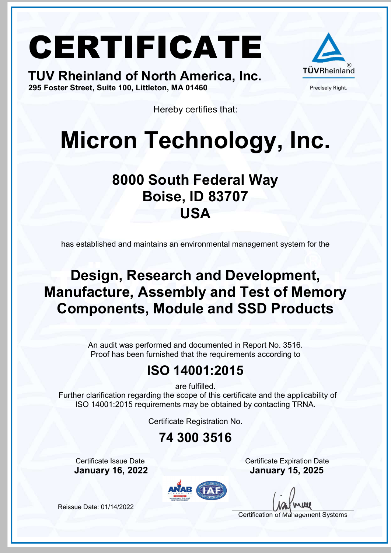TUV Rheinland of North America, Inc. 295 Foster Street, Suite 100, Littleton, MA 01460



Precisely Right.

Hereby certifies that:

### Micron Technology, Inc.

#### 8000 South Federal Way Boise, ID 83707 USA

has established and maintains an environmental management system for the

#### Design, Research and Development, Manufacture, Assembly and Test of Memory Components, Module and SSD Products

An audit was performed and documented in Report No. 3516. Proof has been furnished that the requirements according to

#### ISO 14001:2015

are fulfilled.

 Further clarification regarding the scope of this certificate and the applicability of ISO 14001:2015 requirements may be obtained by contacting TRNA.

Certificate Registration No.

#### 74 300 3516

**Certificate Issue Date** Certificate Expiration Date

January 16, 2022 January 15, 2025



Certification of Management Systems

Reissue Date: 01/14/2022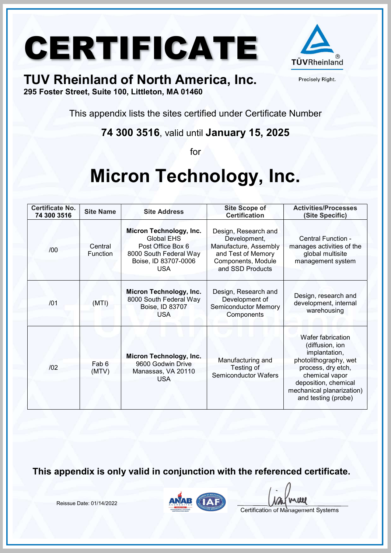

Precisely Right.

#### TUV Rheinland of North America, Inc.

295 Foster Street, Suite 100, Littleton, MA 01460

This appendix lists the sites certified under Certificate Number

74 300 3516, valid until January 15, 2025

for

### Micron Technology, Inc.

| <b>Certificate No.</b><br>74 300 3516 | <b>Site Name</b>    | <b>Site Address</b>                                                                                                               | <b>Site Scope of</b><br><b>Certification</b>                                                                                  | <b>Activities/Processes</b><br>(Site Specific)                                                                                                                                                     |
|---------------------------------------|---------------------|-----------------------------------------------------------------------------------------------------------------------------------|-------------------------------------------------------------------------------------------------------------------------------|----------------------------------------------------------------------------------------------------------------------------------------------------------------------------------------------------|
| /00                                   | Central<br>Function | Micron Technology, Inc.<br><b>Global EHS</b><br>Post Office Box 6<br>8000 South Federal Way<br>Boise, ID 83707-0006<br><b>USA</b> | Design, Research and<br>Development,<br>Manufacture, Assembly<br>and Test of Memory<br>Components, Module<br>and SSD Products | Central Function -<br>manages activities of the<br>global multisite<br>management system                                                                                                           |
| /01                                   | (MTI)               | Micron Technology, Inc.<br>8000 South Federal Way<br>Boise, ID 83707<br><b>USA</b>                                                | Design, Research and<br>Development of<br><b>Semiconductor Memory</b><br>Components                                           | Design, research and<br>development, internal<br>warehousing                                                                                                                                       |
| 102                                   | Fab 6<br>(MTV)      | Micron Technology, Inc.<br>9600 Godwin Drive<br>Manassas, VA 20110<br><b>USA</b>                                                  | Manufacturing and<br>Testing of<br><b>Semiconductor Wafers</b>                                                                | Wafer fabrication<br>(diffusion, ion<br>implantation,<br>photolithography, wet<br>process, dry etch,<br>chemical vapor<br>deposition, chemical<br>mechanical planarization)<br>and testing (probe) |

This appendix is only valid in conjunction with the referenced certificate.

Reissue Date: 01/14/2022



**UU**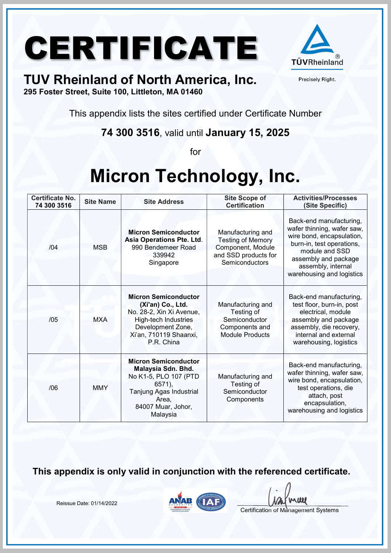

Precisely Right.

#### TUV Rheinland of North America, Inc.

295 Foster Street, Suite 100, Littleton, MA 01460

This appendix lists the sites certified under Certificate Number

74 300 3516, valid until January 15, 2025

for

### Micron Technology, Inc.

| <b>Certificate No.</b><br>74 300 3516 | <b>Site Name</b> | <b>Site Address</b>                                                                                                                                               | <b>Site Scope of</b><br><b>Certification</b>                                                                 | <b>Activities/Processes</b><br>(Site Specific)                                                                                                                                                               |
|---------------------------------------|------------------|-------------------------------------------------------------------------------------------------------------------------------------------------------------------|--------------------------------------------------------------------------------------------------------------|--------------------------------------------------------------------------------------------------------------------------------------------------------------------------------------------------------------|
| /04                                   | <b>MSB</b>       | <b>Micron Semiconductor</b><br><b>Asia Operations Pte. Ltd.</b><br>990 Bendemeer Road<br>339942<br>Singapore                                                      | Manufacturing and<br><b>Testing of Memory</b><br>Component, Module<br>and SSD products for<br>Semiconductors | Back-end manufacturing,<br>wafer thinning, wafer saw,<br>wire bond, encapsulation,<br>burn-in, test operations,<br>module and SSD<br>assembly and package<br>assembly, internal<br>warehousing and logistics |
| /05                                   | <b>MXA</b>       | <b>Micron Semiconductor</b><br>(Xi'an) Co., Ltd.<br>No. 28-2, Xin Xi Avenue,<br>High-tech Industries<br>Development Zone,<br>Xi'an, 710119 Shaanxi,<br>P.R. China | Manufacturing and<br>Testing of<br>Semiconductor<br>Components and<br><b>Module Products</b>                 | Back-end manufacturing,<br>test floor, burn-in, post<br>electrical, module<br>assembly and package<br>assembly, die recovery,<br>internal and external<br>warehousing, logistics                             |
| /06                                   | <b>MMY</b>       | <b>Micron Semiconductor</b><br>Malaysia Sdn. Bhd.<br>No K1-5, PLO 107 (PTD<br>$6571$ ),<br>Tanjung Agas Industrial<br>Area,<br>84007 Muar, Johor,<br>Malaysia     | Manufacturing and<br>Testing of<br>Semiconductor<br>Components                                               | Back-end manufacturing,<br>wafer thinning, wafer saw,<br>wire bond, encapsulation,<br>test operations, die<br>attach, post<br>encapsulation,<br>warehousing and logistics                                    |

This appendix is only valid in conjunction with the referenced certificate.



**UU** 

Certification of Management Systems

Reissue Date: 01/14/2022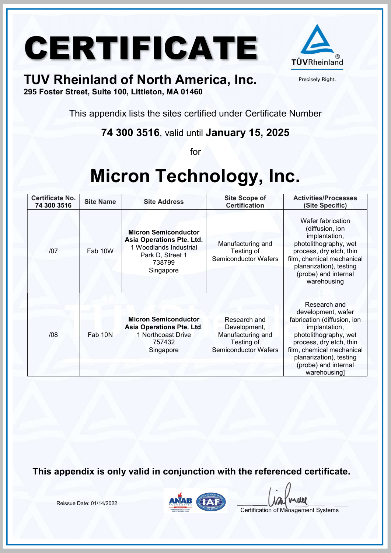

Precisely Right.

#### TUV Rheinland of North America, Inc.

295 Foster Street, Suite 100, Littleton, MA 01460

This appendix lists the sites certified under Certificate Number

74 300 3516, valid until January 15, 2025

for

### Micron Technology, Inc.

| <b>Certificate No.</b><br>74 300 3516 | <b>Site Name</b> | <b>Site Address</b>                                                                                                           | <b>Site Scope of</b><br><b>Certification</b>                                                   | <b>Activities/Processes</b><br>(Site Specific)                                                                                                                                                                                         |
|---------------------------------------|------------------|-------------------------------------------------------------------------------------------------------------------------------|------------------------------------------------------------------------------------------------|----------------------------------------------------------------------------------------------------------------------------------------------------------------------------------------------------------------------------------------|
| 107                                   | Fab 10W          | <b>Micron Semiconductor</b><br>Asia Operations Pte. Ltd.<br>1 Woodlands Industrial<br>Park D, Street 1<br>738799<br>Singapore | Manufacturing and<br>Testing of<br><b>Semiconductor Wafers</b>                                 | Wafer fabrication<br>(diffusion, ion<br>implantation,<br>photolithography, wet<br>process, dry etch, thin<br>film, chemical mechanical<br>planarization), testing<br>(probe) and internal<br>warehousing                               |
| /08                                   | Fab 10N          | <b>Micron Semiconductor</b><br>Asia Operations Pte. Ltd.<br>1 Northcoast Drive<br>757432<br>Singapore                         | Research and<br>Development,<br>Manufacturing and<br>Testing of<br><b>Semiconductor Wafers</b> | Research and<br>development, wafer<br>fabrication (diffusion, ion<br>implantation,<br>photolithography, wet<br>process, dry etch, thin<br>film, chemical mechanical<br>planarization), testing<br>(probe) and internal<br>warehousing] |

This appendix is only valid in conjunction with the referenced certificate.

Reissue Date: 01/14/2022



**ILLE**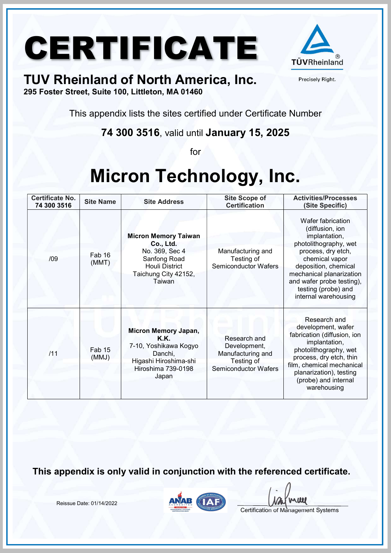

Precisely Right.

#### TUV Rheinland of North America, Inc.

295 Foster Street, Suite 100, Littleton, MA 01460

This appendix lists the sites certified under Certificate Number

74 300 3516, valid until January 15, 2025

for

### Micron Technology, Inc.

| <b>Certificate No.</b><br>74 300 3516 | <b>Site Name</b> | <b>Site Address</b>                                                                                                                   | <b>Site Scope of</b><br><b>Certification</b>                                                   | <b>Activities/Processes</b><br>(Site Specific)                                                                                                                                                                                                         |
|---------------------------------------|------------------|---------------------------------------------------------------------------------------------------------------------------------------|------------------------------------------------------------------------------------------------|--------------------------------------------------------------------------------------------------------------------------------------------------------------------------------------------------------------------------------------------------------|
| /09                                   | Fab 16<br>(MMT)  | <b>Micron Memory Taiwan</b><br>Co., Ltd.<br>No. 369, Sec 4<br>Sanfong Road<br><b>Houli District</b><br>Taichung City 42152,<br>Taiwan | Manufacturing and<br>Testing of<br><b>Semiconductor Wafers</b>                                 | Wafer fabrication<br>(diffusion, ion<br>implantation,<br>photolithography, wet<br>process, dry etch,<br>chemical vapor<br>deposition, chemical<br>mechanical planarization<br>and wafer probe testing),<br>testing (probe) and<br>internal warehousing |
| /11                                   | Fab 15<br>(MMJ)  | Micron Memory Japan,<br>K.K.<br>7-10, Yoshikawa Kogyo<br>Danchi,<br>Higashi Hiroshima-shi<br>Hiroshima 739-0198<br>Japan              | Research and<br>Development,<br>Manufacturing and<br>Testing of<br><b>Semiconductor Wafers</b> | Research and<br>development, wafer<br>fabrication (diffusion, ion<br>implantation,<br>photolithography, wet<br>process, dry etch, thin<br>film, chemical mechanical<br>planarization), testing<br>(probe) and internal<br>warehousing                  |

This appendix is only valid in conjunction with the referenced certificate.

Reissue Date: 01/14/2022



**UU**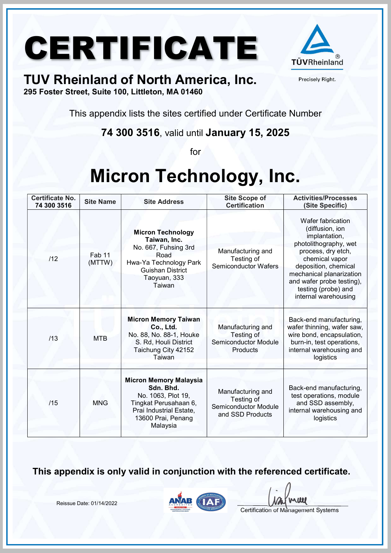

Precisely Right.

#### TUV Rheinland of North America, Inc.

295 Foster Street, Suite 100, Littleton, MA 01460

This appendix lists the sites certified under Certificate Number

74 300 3516, valid until January 15, 2025

for

### Micron Technology, Inc.

| <b>Certificate No.</b><br>74 300 3516 | <b>Site Name</b> | <b>Site Address</b>                                                                                                                                     | <b>Site Scope of</b><br><b>Certification</b>                                | <b>Activities/Processes</b><br>(Site Specific)                                                                                                                                                                                                         |
|---------------------------------------|------------------|---------------------------------------------------------------------------------------------------------------------------------------------------------|-----------------------------------------------------------------------------|--------------------------------------------------------------------------------------------------------------------------------------------------------------------------------------------------------------------------------------------------------|
| /12                                   | Fab 11<br>(MTTW) | <b>Micron Technology</b><br>Taiwan, Inc.<br>No. 667, Fuhsing 3rd<br>Road<br>Hwa-Ya Technology Park<br><b>Guishan District</b><br>Taoyuan, 333<br>Taiwan | Manufacturing and<br>Testing of<br><b>Semiconductor Wafers</b>              | Wafer fabrication<br>(diffusion, ion<br>implantation,<br>photolithography, wet<br>process, dry etch,<br>chemical vapor<br>deposition, chemical<br>mechanical planarization<br>and wafer probe testing),<br>testing (probe) and<br>internal warehousing |
| /13                                   | <b>MTB</b>       | <b>Micron Memory Taiwan</b><br>Co., Ltd.<br>No. 88, No. 88-1, Houke<br>S. Rd, Houli District<br>Taichung City 42152<br>Taiwan                           | Manufacturing and<br>Testing of<br><b>Semiconductor Module</b><br>Products  | Back-end manufacturing,<br>wafer thinning, wafer saw,<br>wire bond, encapsulation,<br>burn-in, test operations,<br>internal warehousing and<br>logistics                                                                                               |
| /15                                   | <b>MNG</b>       | <b>Micron Memory Malaysia</b><br>Sdn. Bhd.<br>No. 1063, Plot 19,<br>Tingkat Perusahaan 6,<br>Prai Industrial Estate,<br>13600 Prai, Penang<br>Malaysia  | Manufacturing and<br>Testing of<br>Semiconductor Module<br>and SSD Products | Back-end manufacturing,<br>test operations, module<br>and SSD assembly,<br>internal warehousing and<br>logistics                                                                                                                                       |

This appendix is only valid in conjunction with the referenced certificate.

Reissue Date: 01/14/2022